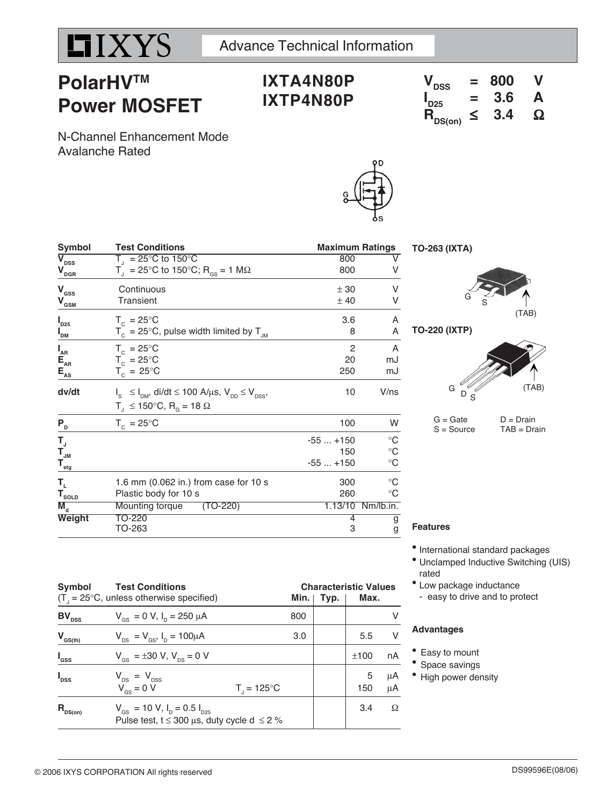

# **PolarHVTM Power MOSFET**

## **IXTA4N80P IXTP4N80P**

| $V_{DSS}$                   | $=$ | 800 | V |
|-----------------------------|-----|-----|---|
| $\mathsf{I}_{\mathsf{D25}}$ | =   | 3.6 | А |
| $R_{DS(on)}$                | ≤   | 3.4 | Ω |

N-Channel Enhancement Mode Avalanche Rated

| Symbol                                  | <b>Test Conditions</b>                                                                                                                    |                       | <b>Maximum Ratings</b>                  |  |
|-----------------------------------------|-------------------------------------------------------------------------------------------------------------------------------------------|-----------------------|-----------------------------------------|--|
| $\overline{\mathsf{V}}_{\mathsf{DSS}}$  | $T_{1} = 25^{\circ}$ C to 150 $^{\circ}$ C                                                                                                | 800                   |                                         |  |
| $\mathbf{V}_{\underline{\mathbf{DGR}}}$ | $T_{\rm d}$ = 25°C to 150°C; R <sub>GS</sub> = 1 MΩ                                                                                       | 800                   |                                         |  |
| $\mathbf{V}_{\mathrm{GSS}}$             | Continuous                                                                                                                                | ± 30                  | V                                       |  |
| $\mathbf{V}_{\mathbf{GSM}}$             | Transient                                                                                                                                 | ±40                   |                                         |  |
| $I_{D25}$                               | $T_c = 25^{\circ}$ C                                                                                                                      | 3.6                   | A                                       |  |
| I <sub>DM</sub>                         | $T_c = 25^{\circ}$ C, pulse width limited by $T_{JM}$                                                                                     | 8                     | A                                       |  |
| $I_{\sf AR}$                            | $T_c = 25^{\circ}$ C                                                                                                                      | $\overline{c}$        | A                                       |  |
| $E_{\rm AR}$                            | $T_c = 25^{\circ}C$                                                                                                                       | 20                    | mJ                                      |  |
| $E_{AS}$                                | $T_c = 25^{\circ}$ C                                                                                                                      | 250                   | mJ                                      |  |
| dv/dt                                   | $I_s \leq I_{\text{DM}}$ , di/dt $\leq 100$ A/µs, $V_{\text{DD}} \leq V_{\text{DSS}}$ ,<br>$T_1 \le 150^{\circ}$ C, R <sub>o</sub> = 18 Ω | 10                    | V/ns                                    |  |
| $P_{D}$                                 | $T_c = 25^{\circ}$ C                                                                                                                      | 100                   | W                                       |  |
| T,                                      |                                                                                                                                           | $-55+150$             | $\rm ^{\circ}C$                         |  |
| $\mathbf{T}_{\mathsf{JM}}$              |                                                                                                                                           | 150                   | $\rm ^{\circ}C$                         |  |
| $\mathbf{T}_{\underline{\mathsf{stg}}}$ |                                                                                                                                           | $-55+150$             | $^\circ \text{C}$                       |  |
| Т,<br>$T_{\text{sOLD}}$<br>$M_{\rm d}$  | 1.6 mm (0.062 in.) from case for 10 s<br>Plastic body for 10 s<br>Mounting torque<br>$(TO-220)$                                           | 300<br>260<br>1.13/10 | $^{\circ}C$<br>$^{\circ}C$<br>Nm/lb.in. |  |
| Weight                                  | TO-220                                                                                                                                    | 4                     | g                                       |  |
|                                         | TO-263                                                                                                                                    | 3                     | g                                       |  |



**TO-220 (IXTP)**

**TO-263 (IXTA)**



 $G = Gate$   $D = Drain$ <br>  $S = Source$   $TAB = Dra$  $TAB = Drain$ 

### **Features**

- $\bullet$  International standard packages
- Unclamped Inductive Switching (UIS) rated
- Low package inductance - easy to drive and to protect

#### **Advantages**

- Easy to mount
- Space savings
- High power density

| Symbol           | <b>Test Conditions</b><br>$(T_{\text{I}} = 25^{\circ}C$ , unless otherwise specified)                                      |                        | Min. I | Typ. | <b>Characteristic Values</b><br>Max. |          |
|------------------|----------------------------------------------------------------------------------------------------------------------------|------------------------|--------|------|--------------------------------------|----------|
| $BV_{DSS}$       | $V_{\text{gs}} = 0 \text{ V}, I_{\text{p}} = 250 \mu \text{A}$                                                             |                        | 800    |      |                                      |          |
| $V_{GS(th)}$     | $V_{DS} = V_{GS}$ , $I_D = 100 \mu A$                                                                                      |                        | 3.0    |      | 5.5                                  | v        |
| $I_{\rm dss}$    | $V_{\text{gs}} = \pm 30 \text{ V}, V_{\text{ps}} = 0 \text{ V}$                                                            |                        |        |      | ±100                                 | nA       |
| $I_{\text{DSS}}$ | $V_{DS}$ = $V_{DSS}$<br>$V_{\text{gs}} = 0 V$                                                                              | $T_{1} = 125^{\circ}C$ |        |      | 5<br>150                             | μA<br>μA |
| $R_{DS(on)}$     | $V_{\text{gs}}$ = 10 V, $I_{\text{p}}$ = 0.5 $I_{\text{pgs}}$<br>Pulse test, $t \le 300 \,\mu s$ , duty cycle d $\le 2 \%$ |                        |        |      | 3.4                                  | Ω        |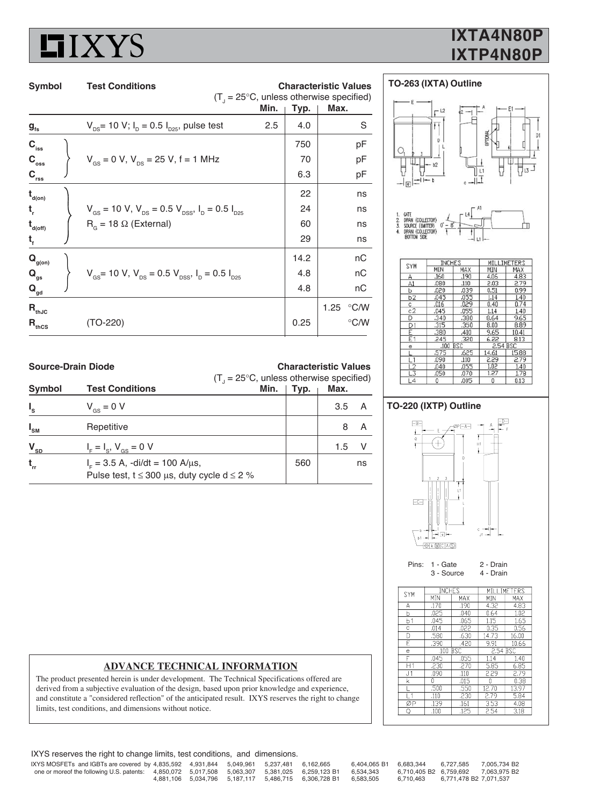

## **IXTA4N80P IXTP4N80P**

| Min.                                                                                                   |      |                                           |  |  |
|--------------------------------------------------------------------------------------------------------|------|-------------------------------------------|--|--|
|                                                                                                        |      | $(T1 = 25°C, unless otherwise specified)$ |  |  |
|                                                                                                        | Typ. | Max.                                      |  |  |
| $V_{DS}$ = 10 V; $I_D$ = 0.5 $I_{D25}$ , pulse test<br>2.5                                             | 4.0  | S                                         |  |  |
|                                                                                                        | 750  | рF                                        |  |  |
| $V_{\text{gs}} = 0$ V, $V_{\text{ps}} = 25$ V, f = 1 MHz                                               | 70   | рF                                        |  |  |
|                                                                                                        | 6.3  | рF                                        |  |  |
|                                                                                                        | 22   | ns                                        |  |  |
| $V_{\text{gs}}$ = 10 V, $V_{\text{ps}}$ = 0.5 V <sub>pss</sub> , I <sub>p</sub> = 0.5 I <sub>p25</sub> | 24   | ns                                        |  |  |
| $R_{\alpha}$ = 18 $\Omega$ (External)                                                                  | 60   | ns                                        |  |  |
|                                                                                                        | 29   | ns                                        |  |  |
|                                                                                                        | 14.2 | nС                                        |  |  |
| $V_{\text{gs}}$ = 10 V, V <sub>DS</sub> = 0.5 V <sub>DSS</sub> , I <sub>D</sub> = 0.5 I <sub>D25</sub> | 4.8  | nC                                        |  |  |
|                                                                                                        | 4.8  | nC                                        |  |  |
|                                                                                                        |      | $\degree$ C/W<br>1.25                     |  |  |
| (TO-220)                                                                                               | 0.25 | °C/W                                      |  |  |
|                                                                                                        |      |                                           |  |  |





| SYM      | <b>INCHES</b> |      | MILI     | IMETERS |
|----------|---------------|------|----------|---------|
|          | MIN           | MAX  | MIN      | MAX     |
| А        | .160          | .190 | 4.06     | 4.83    |
| A1       | .080          | .110 | 2.03     | 2.79    |
| ь        | .020          | .039 | 0.51     | 0.99    |
| b2       | .045          | .055 | 1.14     | 1.40    |
| c        | .016          | .029 | 0.40     | 0.74    |
| c2       | .045          | .055 | 1.14     | 1.40    |
| D        | .340          | ,380 | 8.64     | 9.65    |
| D1       | 315           | .350 | 8.00     | 8.89    |
| E        | .380          | .410 | 9.65     | 10.41   |
| E1       | 245           | .320 | 6.22     | 8.13    |
| e        | $.100$ BSC    |      | 2.54 BSC |         |
|          | .575          | .625 | 14.61    | 15.88   |
| $^{1.1}$ | .090          | .110 | 2.29     | 2.79    |
| 12       | .040          | .055 | 1.02     | 1.40    |
| 13       | .050          | .070 | 1.27     | 1.78    |
| L4       | 0             | .005 | 0        | 0.13    |

**Source-Drain Diode Characteristic Values**

|                 |                                                                                                          | $(T_{\text{I}} = 25^{\circ} \text{C}$ , unless otherwise specified) |      |      |    |  |
|-----------------|----------------------------------------------------------------------------------------------------------|---------------------------------------------------------------------|------|------|----|--|
| Symbol          | <b>Test Conditions</b>                                                                                   | Min.                                                                | Typ. | Max. |    |  |
| $I_{s}$         | $V_{\text{gs}} = 0 V$                                                                                    |                                                                     |      | 3.5  |    |  |
| $I_{\text{SM}}$ | Repetitive                                                                                               |                                                                     |      |      |    |  |
| $V_{SD}$        | $I_{F} = I_{S}$ , $V_{GS} = 0$ V                                                                         |                                                                     |      | 1.5  |    |  |
| $t_{rr}$        | $I_{\rm c}$ = 3.5 A, -di/dt = 100 A/ $\mu$ s,<br>Pulse test, $t \le 300 \mu s$ , duty cycle d $\le 2 \%$ |                                                                     | 560  |      | ns |  |

## **TO-220 (IXTP) Outline**



Pins: 1 - Gate 2 - Drain 3 - Source 4 - Drain

 $rac{S}{1}$ 

> $\rightarrow$ J.

> > $\overline{\varnothing}$

|                | - ovulv <del>o</del> |      | - பன        |       |  |  |
|----------------|----------------------|------|-------------|-------|--|--|
| YM             | <b>INCHES</b>        |      | MILLIMETERS |       |  |  |
|                | MIN                  | MAX  | MIN         | MAX   |  |  |
| ٨              | .170                 | .190 | 4.32        | 4.83  |  |  |
| C              | .025                 | .040 | 0.64        | 1.02  |  |  |
| $\frac{51}{3}$ | .045                 | .065 | 1.15        | 1.65  |  |  |
|                | .014                 | .022 | 0.35        | 0.56  |  |  |
| į              | .580                 | .630 | 14.73       | 16.00 |  |  |
| E              | .390                 | .420 | 9.91        | 10.66 |  |  |
| $\frac{1}{2}$  | 100 BSC              |      | 2.54 BSC    |       |  |  |
|                | .045                 | .055 | 1.14        | 1.40  |  |  |
|                | .230                 | .270 | 5.85        | 6.85  |  |  |
| 14             | 000                  | 110  | הר ר        | 270   |  |  |

.16

## **ADVANCE TECHNICAL INFORMATION**

The product presented herein is under development. The Technical Specifications offered are derived from a subjective evaluation of the design, based upon prior knowledge and experience, and constitute a "considered reflection" of the anticipated result. IXYS reserves the right to change limits, test conditions, and dimensions without notice.

IXYS reserves the right to change limits, test conditions, and dimensions.

| IXYS MOSFETs and IGBTs are covered by 4,835,592 4,931,844 5,049,961 5,237,481 6,162,665                  |  |  |                                                                | 6.404.065 B1 6.683.344 6.727.585 |                                           | 7.005.734 B2 |
|----------------------------------------------------------------------------------------------------------|--|--|----------------------------------------------------------------|----------------------------------|-------------------------------------------|--------------|
| one or moreof the following U.S. patents: 4,850,072 5,017,508 5,063,307 5,381,025 6,259,123 B1 6,534,343 |  |  |                                                                |                                  | 6.710.405 B2    6.759.692    7.063.975 B2 |              |
|                                                                                                          |  |  | 4,881,106 5,034,796 5,187,117 5,486,715 6,306,728 B1 6,583,505 |                                  | 6.710.463 6.771.478 B2 7.071.537          |              |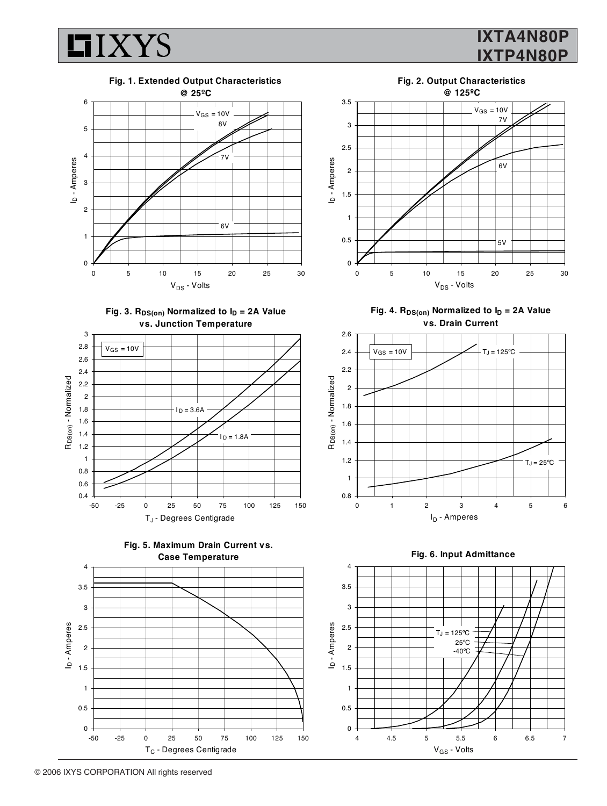

## **IXTA4N80P IXTP4N80P**



Fig. 3. R<sub>DS(on)</sub> Normalized to  $I_D = 2A$  Value **vs. Junction Temperature**









**Fig. 2. Output Characteristics @ 125ºC**

Fig. 4. R<sub>DS(on)</sub> Normalized to  $I_D = 2A$  Value **vs. Drain Current**



4

**Fig. 6. Input Admittance**